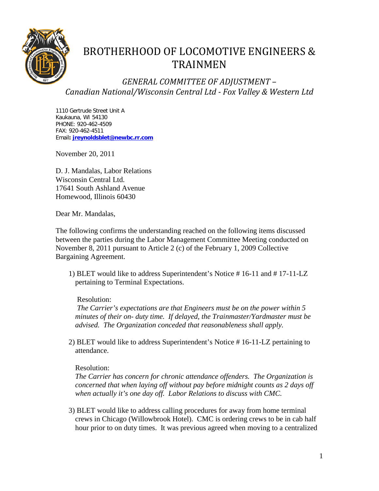

# BROTHERHOOD OF LOCOMOTIVE ENGINEERS & TRAINMEN

*GENERAL COMMITTEE OF ADJUSTMENT – Canadian National/Wisconsin Central Ltd - Fox Valley & Western Ltd*

1110 Gertrude Street Unit A Kaukauna, WI 54130 PHONE: 920-462-4509 FAX: 920-462-4511 Email**: [jreynoldsblet@newbc.rr.com](mailto:jreynoldblet@newbc.rr.com)**

November 20, 2011

D. J. Mandalas, Labor Relations Wisconsin Central Ltd. 17641 South Ashland Avenue Homewood, Illinois 60430

Dear Mr. Mandalas,

The following confirms the understanding reached on the following items discussed between the parties during the Labor Management Committee Meeting conducted on November 8, 2011 pursuant to Article 2 (c) of the February 1, 2009 Collective Bargaining Agreement.

1) BLET would like to address Superintendent's Notice # 16-11 and # 17-11-LZ pertaining to Terminal Expectations.

Resolution:

*The Carrier's expectations are that Engineers must be on the power within 5 minutes of their on- duty time. If delayed, the Trainmaster/Yardmaster must be advised. The Organization conceded that reasonableness shall apply.*

2) BLET would like to address Superintendent's Notice # 16-11-LZ pertaining to attendance.

# Resolution:

*The Carrier has concern for chronic attendance offenders. The Organization is concerned that when laying off without pay before midnight counts as 2 days off when actually it's one day off. Labor Relations to discuss with CMC.*

3) BLET would like to address calling procedures for away from home terminal crews in Chicago (Willowbrook Hotel). CMC is ordering crews to be in cab half hour prior to on duty times. It was previous agreed when moving to a centralized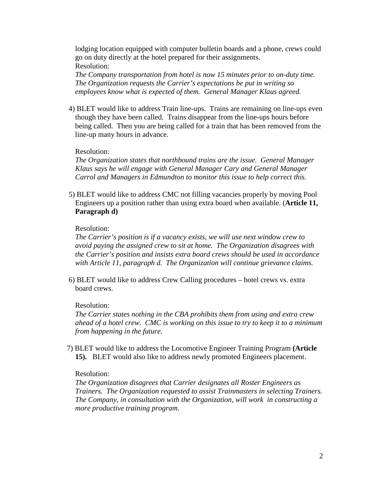lodging location equipped with computer bulletin boards and a phone, crews could go on duty directly at the hotel prepared for their assignments. Resolution:

*The Company transportation from hotel is now 15 minutes prior to on-duty time. The Organization requests the Carrier's expectations be put in writing so employees know what is expected of them. General Manager Klaus agreed.*

4) BLET would like to address Train line-ups. Trains are remaining on line-ups even though they have been called. Trains disappear from the line-ups hours before being called. Then you are being called for a train that has been removed from the line-up many hours in advance.

## Resolution:

*The Organization states that northbound trains are the issue. General Manager Klaus says he will engage with General Manager Cary and General Manager Carrol and Managers in Edmundton to monitor this issue to help correct this.* 

5) BLET would like to address CMC not filling vacancies properly by moving Pool Engineers up a position rather than using extra board when available. (**Article 11, Paragraph d)**

#### Resolution:

*The Carrier's position is if a vacancy exists, we will use next window crew to avoid paying the assigned crew to sit at home. The Organization disagrees with the Carrier's position and insists extra board crews should be used in accordance with Article 11, paragraph d. The Organization will continue grievance claims.*

6) BLET would like to address Crew Calling procedures – hotel crews vs. extra board crews.

#### Resolution:

*The Carrier states nothing in the CBA prohibits them from using and extra crew ahead of a hotel crew. CMC is working on this issue to try to keep it to a minimum from happening in the future.*

7) BLET would like to address the Locomotive Engineer Training Program **(Article 15).** BLET would also like to address newly promoted Engineers placement.

#### Resolution:

*The Organization disagrees that Carrier designates all Roster Engineers as Trainers. The Organization requested to assist Trainmasters in selecting Trainers. The Company, in consultation with the Organization, will work in constructing a more productive training program.*